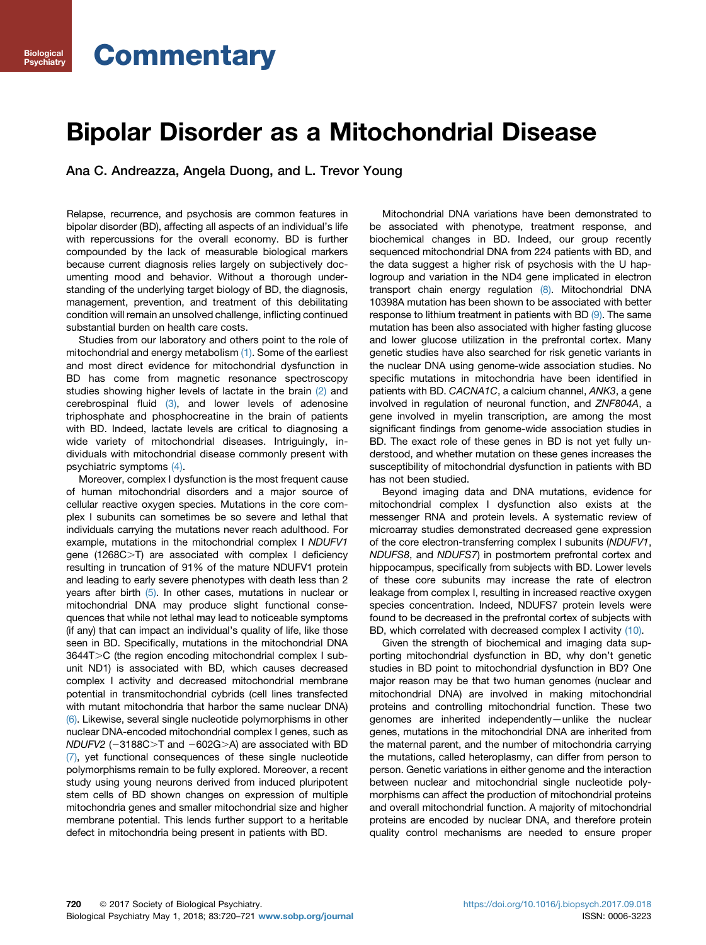# **Commentary**

Biological Psychiatry

## Bipolar Disorder as a Mitochondrial Disease

Ana C. Andreazza, Angela Duong, and L. Trevor Young

Relapse, recurrence, and psychosis are common features in bipolar disorder (BD), affecting all aspects of an individual's life with repercussions for the overall economy. BD is further compounded by the lack of measurable biological markers because current diagnosis relies largely on subjectively documenting mood and behavior. Without a thorough understanding of the underlying target biology of BD, the diagnosis, management, prevention, and treatment of this debilitating condition will remain an unsolved challenge, inflicting continued substantial burden on health care costs.

Studies from our laboratory and others point to the role of mitochondrial and energy metabolism [\(1\).](#page-1-0) Some of the earliest and most direct evidence for mitochondrial dysfunction in BD has come from magnetic resonance spectroscopy studies showing higher levels of lactate in the brain [\(2\)](#page-1-0) and cerebrospinal fluid  $(3)$ , and lower levels of adenosine triphosphate and phosphocreatine in the brain of patients with BD. Indeed, lactate levels are critical to diagnosing a wide variety of mitochondrial diseases. Intriguingly, individuals with mitochondrial disease commonly present with psychiatric symptoms [\(4\)](#page-1-0).

Moreover, complex I dysfunction is the most frequent cause of human mitochondrial disorders and a major source of cellular reactive oxygen species. Mutations in the core complex I subunits can sometimes be so severe and lethal that individuals carrying the mutations never reach adulthood. For example, mutations in the mitochondrial complex I NDUFV1 gene  $(1268C>T)$  are associated with complex I deficiency resulting in truncation of 91% of the mature NDUFV1 protein and leading to early severe phenotypes with death less than 2 years after birth [\(5\)](#page-1-0). In other cases, mutations in nuclear or mitochondrial DNA may produce slight functional consequences that while not lethal may lead to noticeable symptoms (if any) that can impact an individual's quality of life, like those seen in BD. Specifically, mutations in the mitochondrial DNA  $3644T>C$  (the region encoding mitochondrial complex I subunit ND1) is associated with BD, which causes decreased complex I activity and decreased mitochondrial membrane potential in transmitochondrial cybrids (cell lines transfected with mutant mitochondria that harbor the same nuclear DNA) [\(6\).](#page-1-0) Likewise, several single nucleotide polymorphisms in other nuclear DNA-encoded mitochondrial complex I genes, such as  $NDUFV2$  (-3188C>T and -602G>A) are associated with BD [\(7\),](#page-1-0) yet functional consequences of these single nucleotide polymorphisms remain to be fully explored. Moreover, a recent study using young neurons derived from induced pluripotent stem cells of BD shown changes on expression of multiple mitochondria genes and smaller mitochondrial size and higher membrane potential. This lends further support to a heritable defect in mitochondria being present in patients with BD.

Mitochondrial DNA variations have been demonstrated to be associated with phenotype, treatment response, and biochemical changes in BD. Indeed, our group recently sequenced mitochondrial DNA from 224 patients with BD, and the data suggest a higher risk of psychosis with the U haplogroup and variation in the ND4 gene implicated in electron transport chain energy regulation [\(8\).](#page-1-0) Mitochondrial DNA 10398A mutation has been shown to be associated with better response to lithium treatment in patients with BD [\(9\)](#page-1-0). The same mutation has been also associated with higher fasting glucose and lower glucose utilization in the prefrontal cortex. Many genetic studies have also searched for risk genetic variants in the nuclear DNA using genome-wide association studies. No specific mutations in mitochondria have been identified in patients with BD. CACNA1C, a calcium channel, ANK3, a gene involved in regulation of neuronal function, and ZNF804A, a gene involved in myelin transcription, are among the most significant findings from genome-wide association studies in BD. The exact role of these genes in BD is not yet fully understood, and whether mutation on these genes increases the susceptibility of mitochondrial dysfunction in patients with BD has not been studied.

Beyond imaging data and DNA mutations, evidence for mitochondrial complex I dysfunction also exists at the messenger RNA and protein levels. A systematic review of microarray studies demonstrated decreased gene expression of the core electron-transferring complex I subunits (NDUFV1, NDUFS8, and NDUFS7) in postmortem prefrontal cortex and hippocampus, specifically from subjects with BD. Lower levels of these core subunits may increase the rate of electron leakage from complex I, resulting in increased reactive oxygen species concentration. Indeed, NDUFS7 protein levels were found to be decreased in the prefrontal cortex of subjects with BD, which correlated with decreased complex I activity [\(10\).](#page-1-0)

Given the strength of biochemical and imaging data supporting mitochondrial dysfunction in BD, why don't genetic studies in BD point to mitochondrial dysfunction in BD? One major reason may be that two human genomes (nuclear and mitochondrial DNA) are involved in making mitochondrial proteins and controlling mitochondrial function. These two genomes are inherited independently—unlike the nuclear genes, mutations in the mitochondrial DNA are inherited from the maternal parent, and the number of mitochondria carrying the mutations, called heteroplasmy, can differ from person to person. Genetic variations in either genome and the interaction between nuclear and mitochondrial single nucleotide polymorphisms can affect the production of mitochondrial proteins and overall mitochondrial function. A majority of mitochondrial proteins are encoded by nuclear DNA, and therefore protein quality control mechanisms are needed to ensure proper